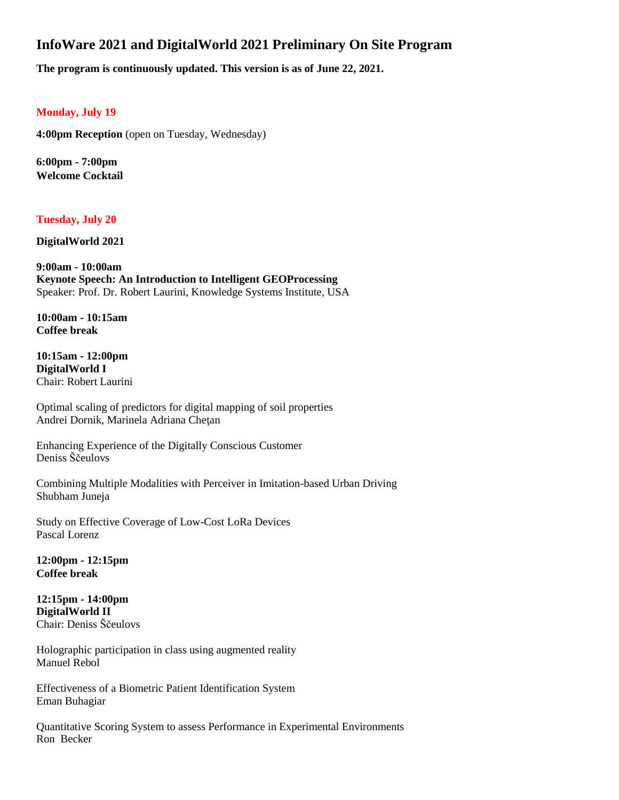## **InfoWare 2021 and DigitalWorld 2021 Preliminary On Site Program**

**The program is continuously updated. This version is as of June 22, 2021.**

## **Monday, July 19**

**4:00pm Reception** (open on Tuesday, Wednesday)

**6:00pm - 7:00pm Welcome Cocktail**

**Tuesday, July 20**

**DigitalWorld 2021**

**9:00am - 10:00am Keynote Speech: An Introduction to Intelligent GEOProcessing** Speaker: Prof. Dr. Robert Laurini, Knowledge Systems Institute, USA

**10:00am - 10:15am Coffee break**

**10:15am - 12:00pm DigitalWorld I** Chair: Robert Laurini

Optimal scaling of predictors for digital mapping of soil properties Andrei Dornik, Marinela Adriana Cheţan

Enhancing Experience of the Digitally Conscious Customer Deniss Ščeulovs

Combining Multiple Modalities with Perceiver in Imitation-based Urban Driving Shubham Juneja

Study on Effective Coverage of Low-Cost LoRa Devices Pascal Lorenz

**12:00pm - 12:15pm Coffee break**

**12:15pm - 14:00pm DigitalWorld II** Chair: Deniss Ščeulovs

Holographic participation in class using augmented reality Manuel Rebol

Effectiveness of a Biometric Patient Identification System Eman Buhagiar

Quantitative Scoring System to assess Performance in Experimental Environments Ron Becker